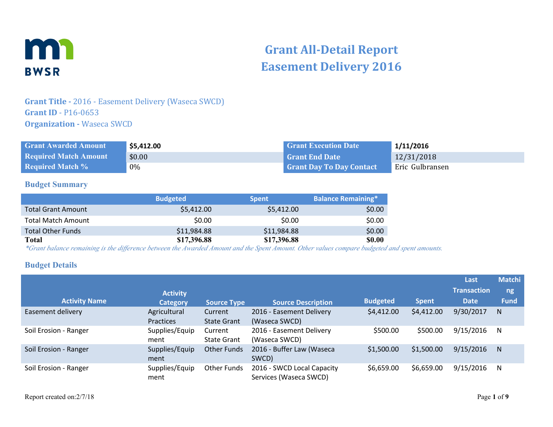

# **Grant All-Detail Report Easement Delivery 2016**

# **Grant Title -** 2016 - Easement Delivery (Waseca SWCD) **Grant ID** - P16-0653 **Organization - Waseca SWCD**

| <b>Grant Awarded Amount</b>  | \$5,412.00 | <b>Grant Execution Date</b>     | 1/11/2016       |
|------------------------------|------------|---------------------------------|-----------------|
| <b>Required Match Amount</b> | \$0.00     | l Grant End Date \              | 12/31/2018      |
| <b>Required Match %</b>      | $0\%$      | <b>Grant Day To Day Contact</b> | Eric Gulbransen |

#### **Budget Summary**

|                           | <b>Budgeted</b> | <b>Spent</b> | <b>Balance Remaining*</b> |
|---------------------------|-----------------|--------------|---------------------------|
| <b>Total Grant Amount</b> | \$5,412.00      | \$5,412.00   | \$0.00                    |
| <b>Total Match Amount</b> | \$0.00          | \$0.00       | \$0.00                    |
| <b>Total Other Funds</b>  | \$11,984.88     | \$11,984.88  | \$0.00                    |
| <b>Total</b>              | \$17,396.88     | \$17,396.88  | <b>\$0.00</b>             |

*\*Grant balance remaining is the difference between the Awarded Amount and the Spent Amount. Other values compare budgeted and spent amounts.*

#### **Budget Details**

|                       | <b>Activity</b>           |                               |                                                      |                 |              | Last<br><b>Transaction</b> | <b>Matchi</b><br>ng |
|-----------------------|---------------------------|-------------------------------|------------------------------------------------------|-----------------|--------------|----------------------------|---------------------|
| <b>Activity Name</b>  | <b>Category</b>           | <b>Source Type</b>            | <b>Source Description</b>                            | <b>Budgeted</b> | <b>Spent</b> | <b>Date</b>                | <b>Fund</b>         |
| Easement delivery     | Agricultural<br>Practices | Current<br><b>State Grant</b> | 2016 - Easement Delivery<br>(Waseca SWCD)            | \$4,412.00      | \$4,412.00   | 9/30/2017                  | N                   |
| Soil Erosion - Ranger | Supplies/Equip<br>ment    | Current<br><b>State Grant</b> | 2016 - Easement Delivery<br>(Waseca SWCD)            | \$500.00        | \$500.00     | 9/15/2016                  | N                   |
| Soil Erosion - Ranger | Supplies/Equip<br>ment    | <b>Other Funds</b>            | 2016 - Buffer Law (Waseca<br>SWCD)                   | \$1,500.00      | \$1,500.00   | 9/15/2016                  | N                   |
| Soil Erosion - Ranger | Supplies/Equip<br>ment    | <b>Other Funds</b>            | 2016 - SWCD Local Capacity<br>Services (Waseca SWCD) | \$6,659.00      | \$6,659.00   | 9/15/2016                  | N                   |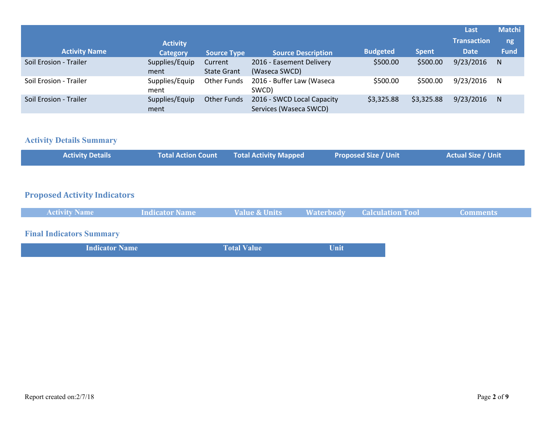|                        |                        |                               |                                                      |                 |              | Last               | <b>Matchi</b> |
|------------------------|------------------------|-------------------------------|------------------------------------------------------|-----------------|--------------|--------------------|---------------|
|                        | <b>Activity</b>        |                               |                                                      |                 |              | <b>Transaction</b> | ng            |
| <b>Activity Name</b>   | <b>Category</b>        | <b>Source Type</b>            | <b>Source Description</b>                            | <b>Budgeted</b> | <b>Spent</b> | <b>Date</b>        | <b>Fund</b>   |
| Soil Erosion - Trailer | Supplies/Equip<br>ment | Current<br><b>State Grant</b> | 2016 - Easement Delivery<br>(Waseca SWCD)            | \$500.00        | \$500.00     | 9/23/2016          | N             |
| Soil Erosion - Trailer | Supplies/Equip<br>ment | <b>Other Funds</b>            | 2016 - Buffer Law (Waseca<br>SWCD)                   | \$500.00        | \$500.00     | 9/23/2016          | -N            |
| Soil Erosion - Trailer | Supplies/Equip<br>ment | <b>Other Funds</b>            | 2016 - SWCD Local Capacity<br>Services (Waseca SWCD) | \$3,325.88      | \$3,325.88   | 9/23/2016          | N             |

# **Activity Details Summary**

| <b>Activity Details</b> |  | <b>Total Action Count Total Activity Mapped</b> | <b>Proposed Size / Unit</b> | <b>Actual Size / Unit</b> |
|-------------------------|--|-------------------------------------------------|-----------------------------|---------------------------|
|-------------------------|--|-------------------------------------------------|-----------------------------|---------------------------|

## **Proposed Activity Indicators**

| <b>Activity Name</b>            | <b>Indicator Name</b> | Value & Units      |      | <b>Waterbody Calculation Tool</b> | <b>Comments</b> |
|---------------------------------|-----------------------|--------------------|------|-----------------------------------|-----------------|
| <b>Final Indicators Summary</b> |                       |                    |      |                                   |                 |
| <b>Indicator Name</b>           |                       | <b>Total Value</b> | Unit |                                   |                 |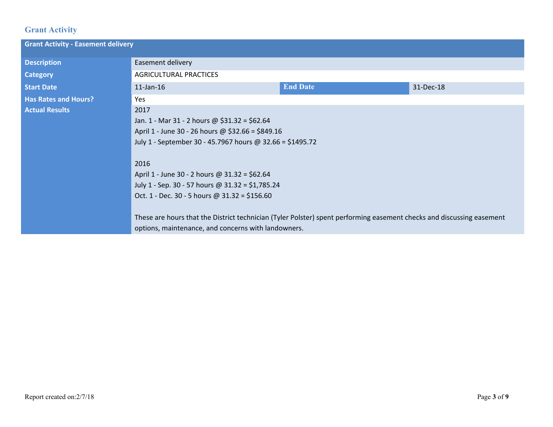# **Grant Activity**

| <b>Grant Activity - Easement delivery</b> |                                                                                                                                                                              |                 |           |  |  |
|-------------------------------------------|------------------------------------------------------------------------------------------------------------------------------------------------------------------------------|-----------------|-----------|--|--|
| <b>Description</b>                        | Easement delivery                                                                                                                                                            |                 |           |  |  |
| <b>Category</b>                           | <b>AGRICULTURAL PRACTICES</b>                                                                                                                                                |                 |           |  |  |
| <b>Start Date</b>                         | $11$ -Jan- $16$                                                                                                                                                              | <b>End Date</b> | 31-Dec-18 |  |  |
| <b>Has Rates and Hours?</b>               | Yes                                                                                                                                                                          |                 |           |  |  |
| <b>Actual Results</b>                     | 2017                                                                                                                                                                         |                 |           |  |  |
|                                           | Jan. 1 - Mar 31 - 2 hours @ \$31.32 = \$62.64                                                                                                                                |                 |           |  |  |
|                                           | April 1 - June 30 - 26 hours @ \$32.66 = \$849.16                                                                                                                            |                 |           |  |  |
|                                           | July 1 - September 30 - 45.7967 hours @ 32.66 = \$1495.72                                                                                                                    |                 |           |  |  |
|                                           | 2016                                                                                                                                                                         |                 |           |  |  |
|                                           | April 1 - June 30 - 2 hours @ $31.32 = $62.64$                                                                                                                               |                 |           |  |  |
|                                           | July 1 - Sep. 30 - 57 hours @ 31.32 = \$1,785.24                                                                                                                             |                 |           |  |  |
|                                           | Oct. 1 - Dec. 30 - 5 hours @ $31.32 = $156.60$                                                                                                                               |                 |           |  |  |
|                                           | These are hours that the District technician (Tyler Polster) spent performing easement checks and discussing easement<br>options, maintenance, and concerns with landowners. |                 |           |  |  |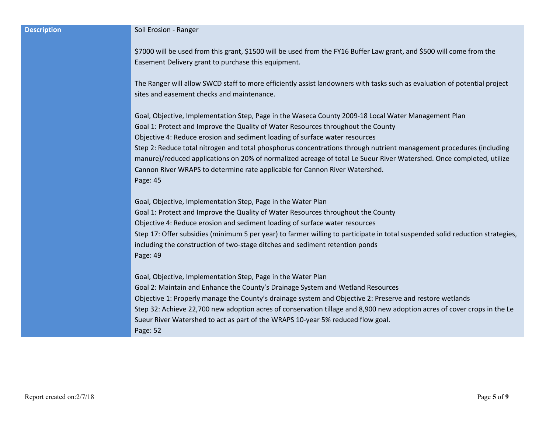| <b>Description</b> |  |
|--------------------|--|
|                    |  |

#### **Soil Erosion - Ranger**

\$7000 will be used from this grant, \$1500 will be used from the FY16 Buffer Law grant, and \$500 will come from the Easement Delivery grant to purchase this equipment.

The Ranger will allow SWCD staff to more efficiently assist landowners with tasks such as evaluation of potential project sites and easement checks and maintenance.

Goal, Objective, Implementation Step, Page in the Waseca County 2009-18 Local Water Management Plan Goal 1: Protect and Improve the Quality of Water Resources throughout the County Objective 4: Reduce erosion and sediment loading of surface water resources Step 2: Reduce total nitrogen and total phosphorus concentrations through nutrient management procedures (including manure)/reduced applications on 20% of normalized acreage of total Le Sueur River Watershed. Once completed, utilize Cannon River WRAPS to determine rate applicable for Cannon River Watershed. Page: 45

Goal, Objective, Implementation Step, Page in the Water Plan Goal 1: Protect and Improve the Quality of Water Resources throughout the County Objective 4: Reduce erosion and sediment loading of surface water resources Step 17: Offer subsidies (minimum 5 per year) to farmer willing to participate in total suspended solid reduction strategies, including the construction of two-stage ditches and sediment retention ponds Page: 49

Goal, Objective, Implementation Step, Page in the Water Plan Goal 2: Maintain and Enhance the County's Drainage System and Wetland Resources Objective 1: Properly manage the County's drainage system and Objective 2: Preserve and restore wetlands Step 32: Achieve 22,700 new adoption acres of conservation tillage and 8,900 new adoption acres of cover crops in the Le Sueur River Watershed to act as part of the WRAPS 10-year 5% reduced flow goal. Page: 52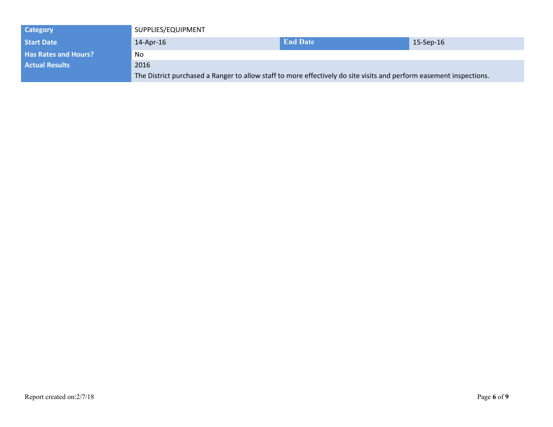| <b>Category</b>             | SUPPLIES/EQUIPMENT                                                                                                  |                 |                 |
|-----------------------------|---------------------------------------------------------------------------------------------------------------------|-----------------|-----------------|
| <b>Start Date</b>           | $14$ -Apr-16                                                                                                        | <b>End Date</b> | $15-$ Sep $-16$ |
| <b>Has Rates and Hours?</b> | No                                                                                                                  |                 |                 |
| <b>Actual Results</b>       | 2016                                                                                                                |                 |                 |
|                             | The District purchased a Ranger to allow staff to more effectively do site visits and perform easement inspections. |                 |                 |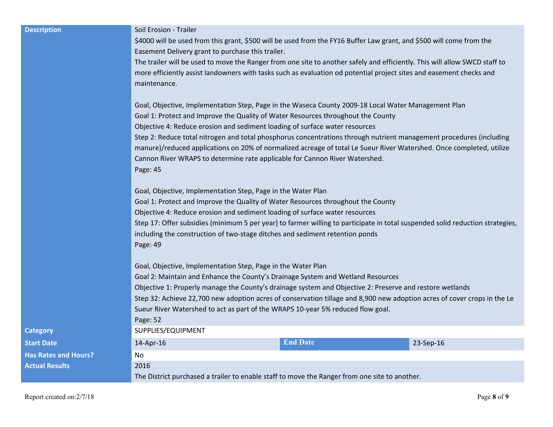**Description Solution** Soil Erosion - Trailer

\$4000 will be used from this grant, \$500 will be used from the FY16 Buffer Law grant, and \$500 will come from the Easement Delivery grant to purchase this trailer.

The trailer will be used to move the Ranger from one site to another safely and efficiently. This will allow SWCD staff to more efficiently assist landowners with tasks such as evaluation od potential project sites and easement checks and maintenance.

Goal, Objective, Implementation Step, Page in the Waseca County 2009-18 Local Water Management Plan Goal 1: Protect and Improve the Quality of Water Resources throughout the County Objective 4: Reduce erosion and sediment loading of surface water resources Step 2: Reduce total nitrogen and total phosphorus concentrations through nutrient management procedures (including manure)/reduced applications on 20% of normalized acreage of total Le Sueur River Watershed. Once completed, utilize Cannon River WRAPS to determine rate applicable for Cannon River Watershed. Page: 45

Goal, Objective, Implementation Step, Page in the Water Plan Goal 1: Protect and Improve the Quality of Water Resources throughout the County Objective 4: Reduce erosion and sediment loading of surface water resources Step 17: Offer subsidies (minimum 5 per year) to farmer willing to participate in total suspended solid reduction strategies, including the construction of two-stage ditches and sediment retention ponds Page: 49

Goal, Objective, Implementation Step, Page in the Water Plan Goal 2: Maintain and Enhance the County's Drainage System and Wetland Resources Objective 1: Properly manage the County's drainage system and Objective 2: Preserve and restore wetlands Step 32: Achieve 22,700 new adoption acres of conservation tillage and 8,900 new adoption acres of cover crops in the Le Sueur River Watershed to act as part of the WRAPS 10-year 5% reduced flow goal. Page: 52 **Category Category SUPPLIES/EQUIPMENT Start Date** 14-Apr-16 **End Date** 23-Sep-16 **Has Rates and Hours?** No **Actual Results** 2016 The District purchased a trailer to enable staff to move the Ranger from one site to another.